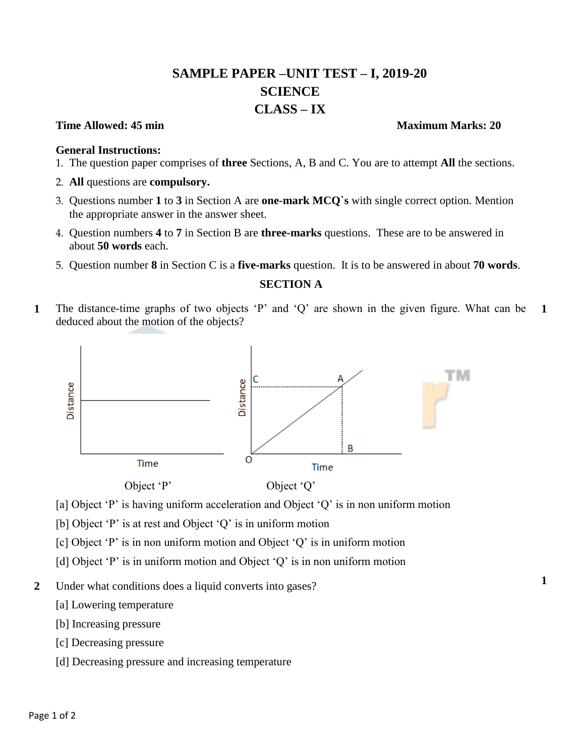# **SAMPLE PAPER –UNIT TEST – I, 2019-20 SCIENCE CLASS – IX**

#### **Time Allowed: 45 min** Maximum Marks: 20

#### **General Instructions:**

- 1. The question paper comprises of **three** Sections, A, B and C. You are to attempt **All** the sections.
- 2. **All** questions are **compulsory.**
- 3. Questions number **1** to **3** in Section A are **one-mark MCQ`s** with single correct option. Mention the appropriate answer in the answer sheet.
- 4. Question numbers **4** to **7** in Section B are **three-marks** questions. These are to be answered in about **50 words** each.
- 5. Question number **8** in Section C is a **five-marks** question. It is to be answered in about **70 words**.

### **SECTION A**

**1** The distance-time graphs of two objects 'P' and 'Q' are shown in the given figure. What can be deduced about the motion of the objects? **1**



- [a] Object 'P' is having uniform acceleration and Object 'Q' is in non uniform motion
- [b] Object 'P' is at rest and Object 'Q' is in uniform motion
- [c] Object 'P' is in non uniform motion and Object 'Q' is in uniform motion
- [d] Object 'P' is in uniform motion and Object 'Q' is in non uniform motion
- **2** Under what conditions does a liquid converts into gases?
	- [a] Lowering temperature
	- [b] Increasing pressure
	- [c] Decreasing pressure
	- [d] Decreasing pressure and increasing temperature

**1**